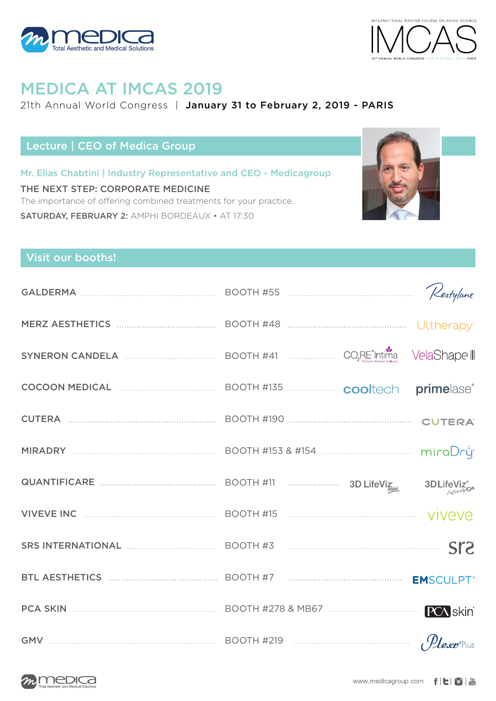



## MEDICA AT IMCAS 2019

#### 21th Annual World Congress | January 31 to February 2, 2019 - PARIS

## Lecture | CEO of Medica Group

Mr. Elias Chabtini | Industry Representative and CEO - Medicagroup THE NEXT STEP: CORPORATE MEDICINE The importance of offering combined treatments for your practice. SATURDAY, FEBRUARY 2: AMPHI BORDEAUX • AT 17:30



### Visit our booths!

| GALDERMA MELLERMA SURFERIES BOOTH #55 MALLERMAN RESTRICTED RESTRICTED BOOTH #55                                                                   |  |                 |
|---------------------------------------------------------------------------------------------------------------------------------------------------|--|-----------------|
| MERZ AESTHETICS <b>MERZ AESTHETICS MERZ AESTHETICS MERZ AESTHETICS MERZ AESTHETICS MERZ</b> BOOTH #48                                             |  |                 |
| SYNERON CANDELA <b>MARKET AND READER</b> BOOTH #41 <b>MARKET AND READER</b> SYNERON CANDEL VelaShape                                              |  |                 |
| COCOON MEDICAL <b>COCOON MEDICAL EXAMPLE ACCOOL</b> BOOTH #135 <b>COOL</b> COOL COOL <b>prime</b> as extending to the BOOTH #135 <b>COOL</b> COOL |  |                 |
| CUTERA MARIE RANDING BOOTH #190 MARIE MARIE RAND CUTERA                                                                                           |  |                 |
|                                                                                                                                                   |  |                 |
|                                                                                                                                                   |  |                 |
| VIVEVE INC <b>WELL ASSESSED TO A REPORT A</b> 15 <b>CONTRACT A REPORT A</b> 15 <b>CONTRACT A 15 CONTRACT A VIVEVE.</b>                            |  |                 |
| SRS INTERNATIONAL EXECUTIVE SOOTH #3                                                                                                              |  |                 |
| BTL AESTHETICS MARKER AND MARKETING BOOTH #7 MARKETING MARKETING EMSCULPT <sup>®</sup>                                                            |  |                 |
|                                                                                                                                                   |  | <b>PCA</b> skin |
| GMV $\ldots$ BOOTH #219                                                                                                                           |  |                 |